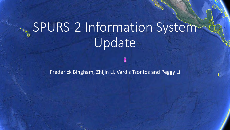# **SPURS-2 Information System** Update

Frederick Bingham, Zhijin Li, Vardis Tsontos and Peggy Li

A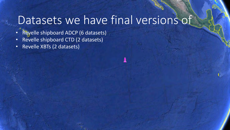## Datasets we have final versions of

- Revelle shipboard ADCP (6 datasets)
- Revelle shipboard CTD (2 datasets)
- Revelle XBTs (2 datasets)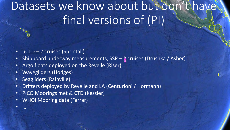# Datasets we know about but don't have final versions of (PI)

- uCTD 2 cruises (Sprintall)
- Shipboard underway measurements, SSP 2 cruises (Drushka / Asher)
- Argo floats deployed on the Revelle (Riser)
- Wavegliders (Hodges)
- Seagliders (Rainville)

• …

- Drifters deployed by Revelle and LA (Centurioni / Hormann)
- PICO Moorings met & CTD (Kessler)
- WHOI Mooring data (Farrar)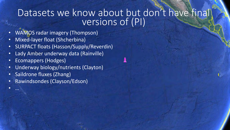### Datasets we know about but don't have final versions of (PI)

- WAMOS radar imagery (Thompson)
- Mixed-layer float (Shcherbina)
- SURPACT floats (Hasson/Supply/Reverdin)
- Lady Amber underway data (Rainville)
- Ecomappers (Hodges)

• …

- Underway biology/nutrients (Clayton)
- Saildrone fluxes (Zhang)
- Rawindsondes (Clayson/Edson)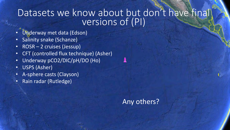### Datasets we know about but don't have final versions of (PI)

- Underway met data (Edson)
- Salinity snake (Schanze)
- ROSR 2 cruises (Jessup)
- CFT (controlled flux technique) (Asher)
- Underway pCO2/DIC/pH/DO (Ho)
- USPS (Asher)
- A-sphere casts (Clayson)
- Rain radar (Rutledge)

### Any others?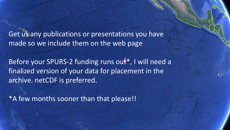Get us any publications or presentations you have made so we include them on the web page

Before your SPURS-2 funding runs out\*, I will need a finalized version of your data for placement in the archive. netCDF is preferred.

\*A few months sooner than that please!!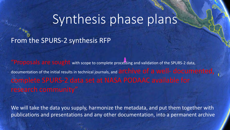## Synthesis phase plans

### From the SPURS-2 synthesis RFP

"Proposals are sought with scope to complete processing and validation of the SPURS-2 data, documentation of the initial results in technical journals, and **archive of a well- documented**, complete SPURS-2 data set at NASA PODAAC available for

We will take the data you supply, harmonize the metadata, and put them together with publications and presentations and any other documentation, into a permanent archive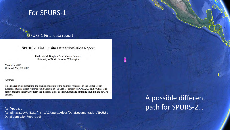### For SPURS-1

#### SPURS-1 Final data report

SPURS-1 Final in situ Data Submission Report

Frederick M. Bingham\* and Vincent Varamo University of North Carolina Wilmington

March 16, 2015 **Updated:** May 28, 2015

#### Abstract

This is a report documenting the final submission of the Salinity Processes in the Upper Ocean Regional Studies North Atlantic Field Campaign (SPURS-1) dataset to PO.DAAC and NODC. The report presents in narrative form the different types of instruments and sampling found in the SPURS-1 dataset.

ftp://podaacftp.jpl.nasa.gov/allData/insitu/L2/spurs1/docs/DataDocumentation/SPURS1\_ DataSubmissionReport.pdf

### A possible different path for SPURS-2…

且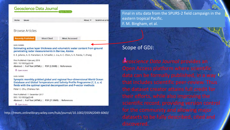#### Geoscience Data Journal **Open Access**

Home Issues

About  $\Psi$ Submit an artic

#### **Browse Articles**

**Recently Published** 

**Most Cited Most Accessed** 

#### **DATA PAPERS**

Estimating active layer thickness and volumetric water content from ground penetrating radar measurements in Barrow, Alaska

E. E. Jafarov, A. D. Parsekian, K. Schaefer, L. Liu, A. C. Chen, S. K. Panda, T. Zhang

First Published: 9 January 2018 DOI: 10.1002/gdj3.49 Abstract | Full Text (HTML) | PDF (2.5MB) | References

a Open Access

#### **DATA PAPERS**

Synoptic monthly gridded global and regional four-dimensional World Ocean Database and Global Temperature and Salinity Profile Programme (T, S, u, v) fields with the optimal spectral decomposition and P-vector methods

Peter C. Chu, Chenwu Fan

First Published: 11 December 2017 DOI: 10.1002/gdj3.48 Abstract | Full Text (HTML) | PDF (21.8MB) | References

**a** Open Access

http://rmets.onlinelibrary.wiley.com/hub/journal/10.1002/(ISSN)2049-6060/

Final in situ data from the SPURS-2 field campaign in the eastern tropical Pacific. F. M. Bingham, et al.

Scope of GDJ:

*Geoscience Data Journal* provides an Open Access platform where scientific data can be formally published, in a way the dataset creator attains full credit for scientific record, providing version control for the community and allowing major datasets to be fully described, cited and discovered.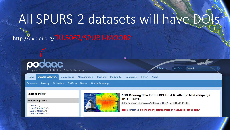# All SPURS-2 datasets will have DOI

### http://dx.doi.org/10.5067/SPUR1-MOOR2

Level-1 (11)

Level-2 (Swath) (140)

Level-3 (Grid) (394) Level-4 (Blended) (46)



https://podaac.jpl.nasa.gov/dataset/SPURS1\_MOORING\_PICO

Please contact us if there are any discrepancies or inaccuracies found below.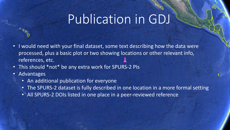## Publication in GDJ

- I would need with your final dataset, some text describing how the data were processed, plus a basic plot or two showing locations or other relevant info, references, etc.
- This should \*not\* be any extra work for SPURS-2 PIs
- Advantages
	- An additional publication for everyone
	- The SPURS-2 dataset is fully described in one location in a more formal setting
	- All SPURS-2 DOIs listed in one place in a peer-reviewed reference